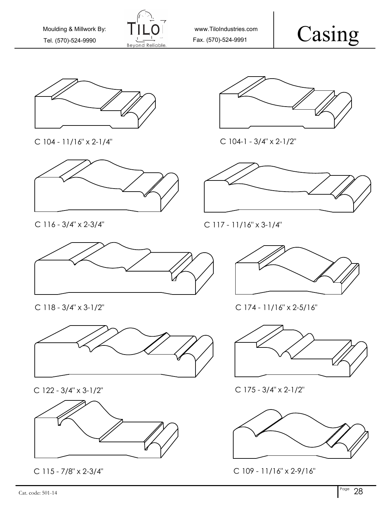

www.TiloIndustries.com

Casing



C 104 - 11/16" x 2-1/4"



C 116 - 3/4" x 2-3/4"



C 118 - 3/4" x 3-1/2"



C 122 - 3/4" x 3-1/2"



C 115 - 7/8" x 2-3/4"



C 104-1 - 3/4" x 2-1/2"



C 117 - 11/16" x 3-1/4"



C 174 - 11/16" x 2-5/16"



C 175 - 3/4" x 2-1/2"



C 109 - 11/16" x 2-9/16"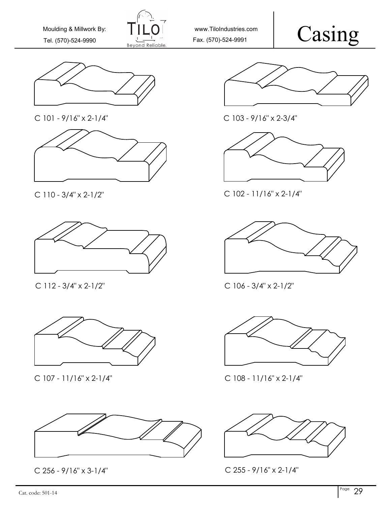

www.TiloIndustries.com

## Casing



C 101 - 9/16" x 2-1/4"





C 112 - 3/4" x 2-1/2"



C 107 - 11/16" x 2-1/4" C 108 - 11/16" x 2-1/4"





C 103 - 9/16" x 2-3/4"



C 110 - 3/4" x 2-1/2" C 102 - 11/16" x 2-1/4"



C 106 - 3/4" x 2-1/2"





C 256 - 9/16" x 3-1/4" C 255 - 9/16" x 2-1/4"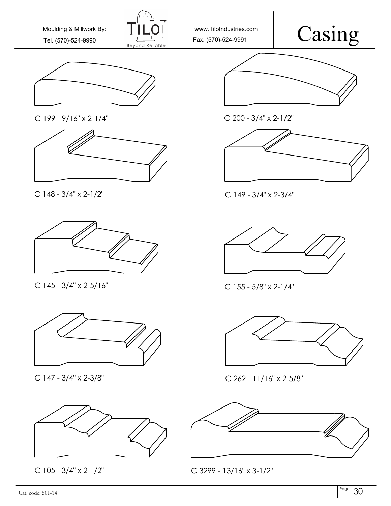

www.TiloIndustries.com

## Casing







C 148 - 3/4" x 2-1/2" C 149 - 3/4" x 2-3/4"



C 145 - 3/4" x 2-5/16"



C 147 - 3/4" x 2-3/8"









C 155 - 5/8" x 2-1/4"



C 262 - 11/16" x 2-5/8"



C 105 - 3/4" x 2-1/2" C 3299 - 13/16" x 3-1/2"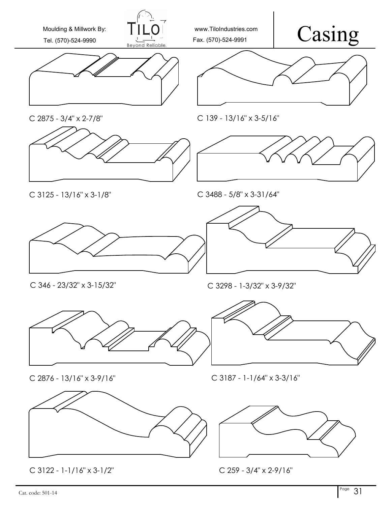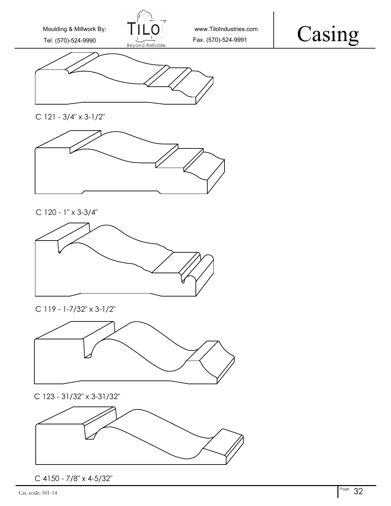





C 121 - 3/4" x 3-1/2"



C 120 - 1" x 3-3/4"



C 119 - 1-7/32" x 3-1/2"



C 123 - 31/32" x 3-31/32"



C 4150 - 7/8" x 4-5/32"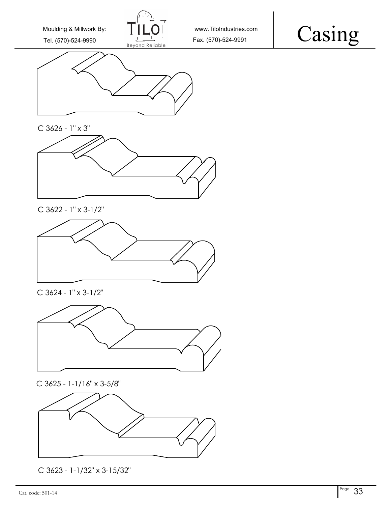

## Casing



C 3626 - 1" x 3"



C 3622 - 1" x 3-1/2"



C 3624 - 1" x 3-1/2"







C 3623 - 1-1/32" x 3-15/32"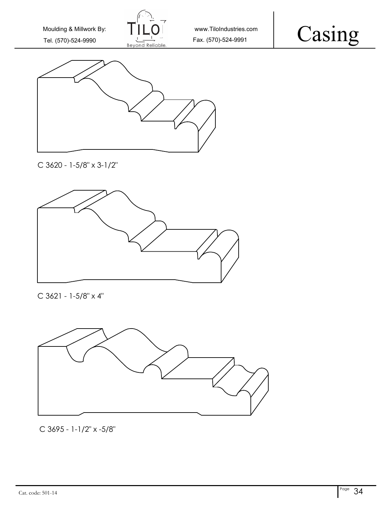





C 3620 - 1-5/8" x 3-1/2"



C 3621 - 1-5/8" x 4"



C 3695 - 1-1/2" x -5/8"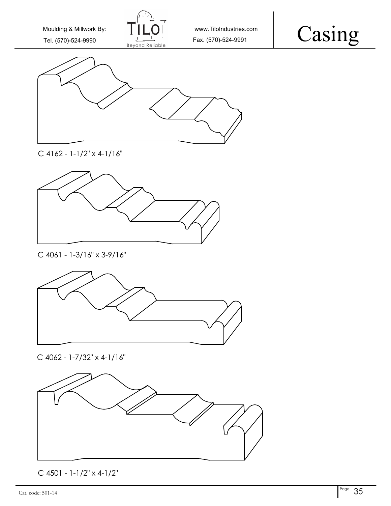





C 4162 - 1-1/2" x 4-1/16"



C 4061 - 1-3/16" x 3-9/16"



C 4062 - 1-7/32" x 4-1/16"



C 4501 - 1-1/2" x 4-1/2"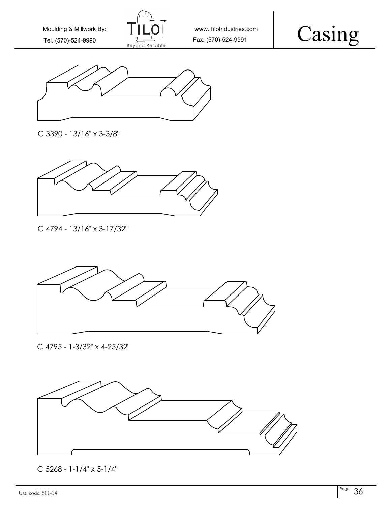





C 3390 - 13/16" x 3-3/8"



C 4794 - 13/16" x 3-17/32"



C 4795 - 1-3/32" x 4-25/32"



C 5268 - 1-1/4" x 5-1/4"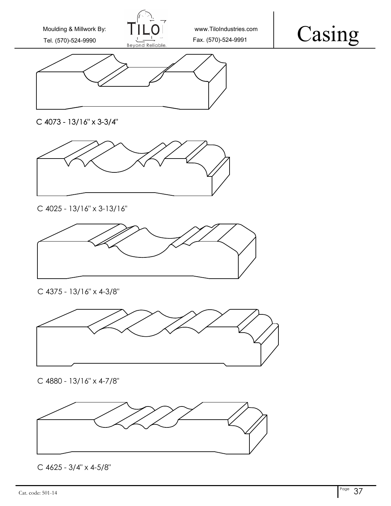

www.TiloIndustries.com





C 4073 - 13/16" x 3-3/4"



C 4025 - 13/16" x 3-13/16"



C 4375 - 13/16" x 4-3/8"



C 4880 - 13/16" x 4-7/8"



C 4625 - 3/4" x 4-5/8"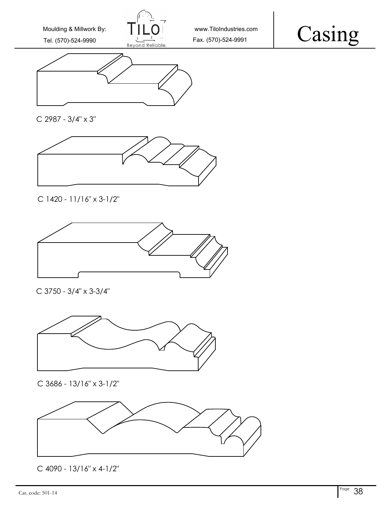





C 2987 - 3/4" x 3"



C 1420 - 11/16" x 3-1/2"



C 3750 - 3/4" x 3-3/4"



C 3686 - 13/16" x 3-1/2"



C 4090 - 13/16" x 4-1/2"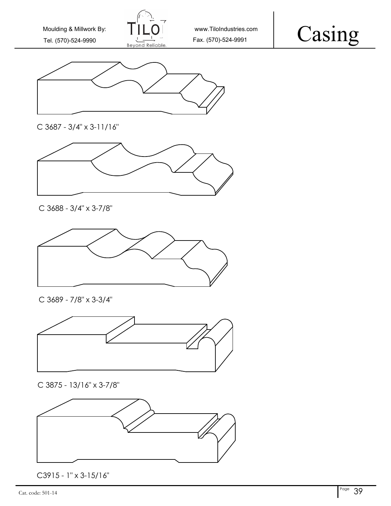





C 3687 - 3/4" x 3-11/16"



C 3688 - 3/4" x 3-7/8"



C 3689 - 7/8" x 3-3/4"



C 3875 - 13/16" x 3-7/8"



C3915 - 1" x 3-15/16"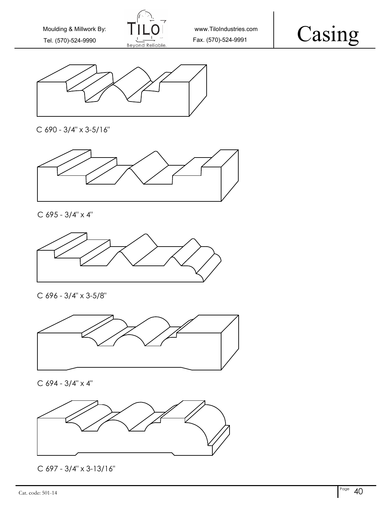





C 690 - 3/4" x 3-5/16"



C 695 - 3/4" x 4"



C 696 - 3/4" x 3-5/8"



C 694 - 3/4" x 4"



C 697 - 3/4" x 3-13/16"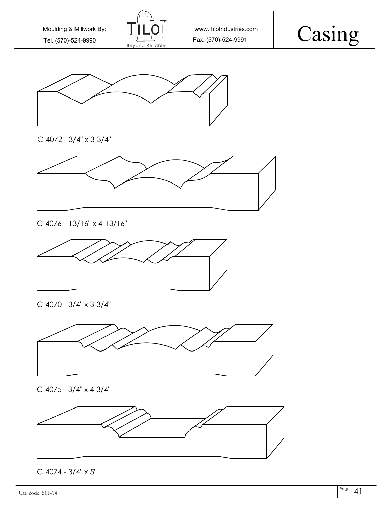









C 4076 - 13/16" x 4-13/16"



C 4070 - 3/4" x 3-3/4"



C 4075 - 3/4" x 4-3/4"



C 4074 - 3/4" x 5"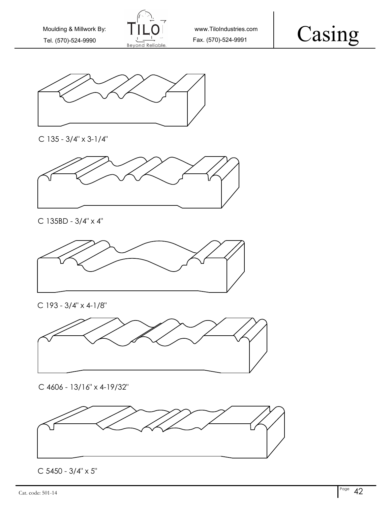





C 135 - 3/4" x 3-1/4"



C 135BD - 3/4" x 4"



C 193 - 3/4" x 4-1/8"



C 4606 - 13/16" x 4-19/32"



C 5450 - 3/4" x 5"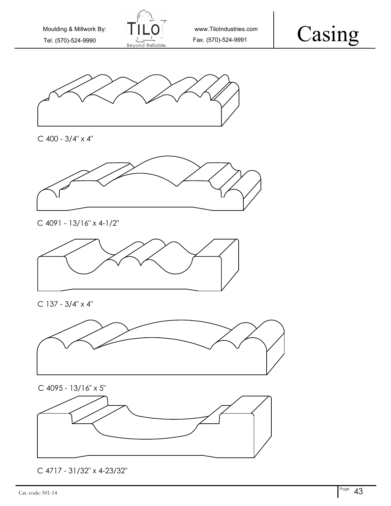







## C 4091 - 13/16" x 4-1/2"



C 137 - 3/4" x 4"







C 4717 - 31/32" x 4-23/32"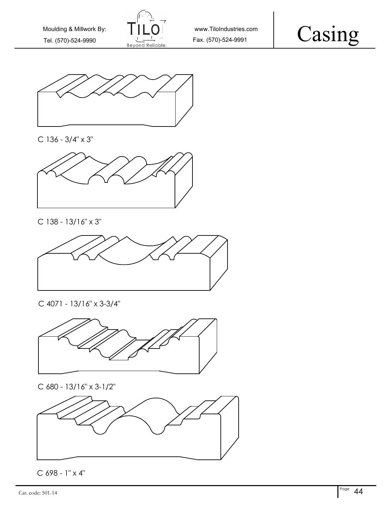





C 136 - 3/4" x 3"



C 138 - 13/16" x 3"



C 4071 - 13/16" x 3-3/4"



C 680 - 13/16" x 3-1/2"



C 698 - 1" x 4"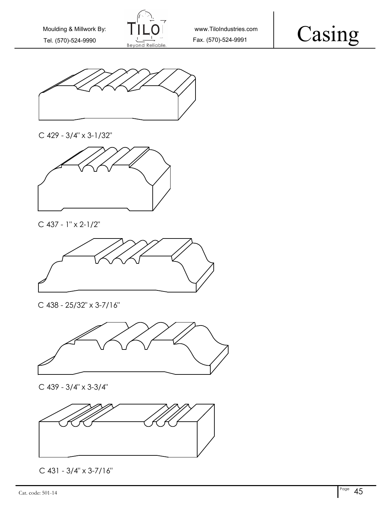





C 429 - 3/4" x 3-1/32"



C 437 - 1" x 2-1/2"



C 438 - 25/32" x 3-7/16"



C 439 - 3/4" x 3-3/4"



C 431 - 3/4" x 3-7/16"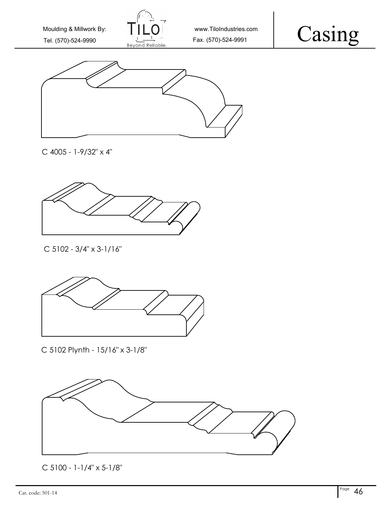





C 4005 - 1-9/32" x 4"



C 5102 - 3/4" x 3-1/16"



C 5102 Plynth - 15/16" x 3-1/8"



C 5100 - 1-1/4" x 5-1/8"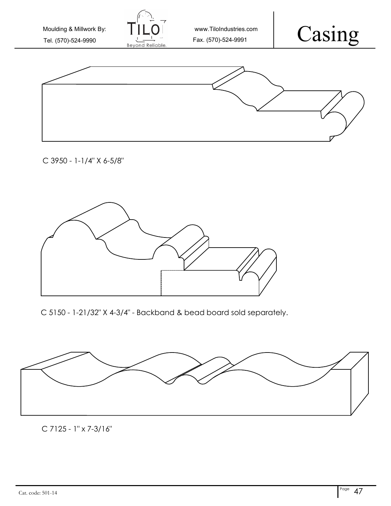Casing www.TiloIndustries.com Tel. (570)-524-9990  $\frac{1}{10}$  Fax. (570)-524-9991 Moulding & Millwork By:

C 3950 - 1-1/4" X 6-5/8"



C 5150 - 1-21/32" X 4-3/4" - Backband & bead board sold separately.



C 7125 - 1" x 7-3/16"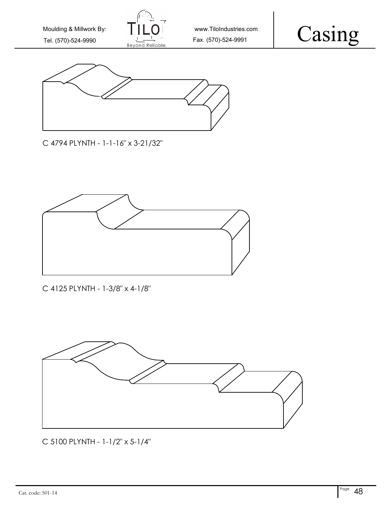





C 4794 PLYNTH - 1-1-16" x 3-21/32"



C 4125 PLYNTH - 1-3/8" x 4-1/8"



C 5100 PLYNTH - 1-1/2" x 5-1/4"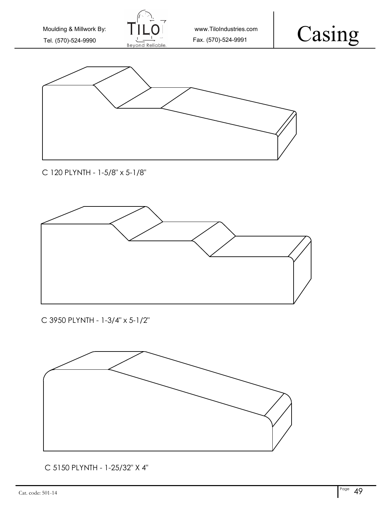



C 5150 PLYNTH - 1-25/32" X 4"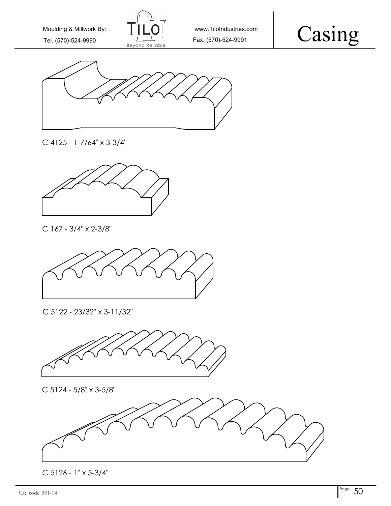





C 4125 - 1-7/64" x 3-3/4"



C 167 - 3/4" x 2-3/8"



C 5122 - 23/32" x 3-11/32"



C 5124 - 5/8" x 3-5/8"



 $\frac{1}{\sqrt{50}}$  Cat. code: 501-14  $\frac{50}{50}$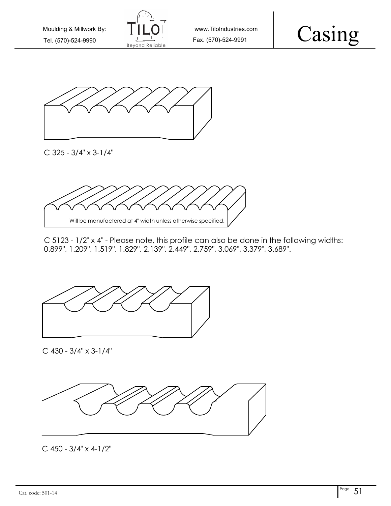





C 325 - 3/4" x 3-1/4"



C 5123 - 1/2" x 4" - Please note, this profile can also be done in the following widths: 0.899", 1.209", 1.519", 1.829", 2.139", 2.449", 2.759", 3.069", 3.379", 3.689".



C 430 - 3/4" x 3-1/4"



C 450 - 3/4" x 4-1/2"